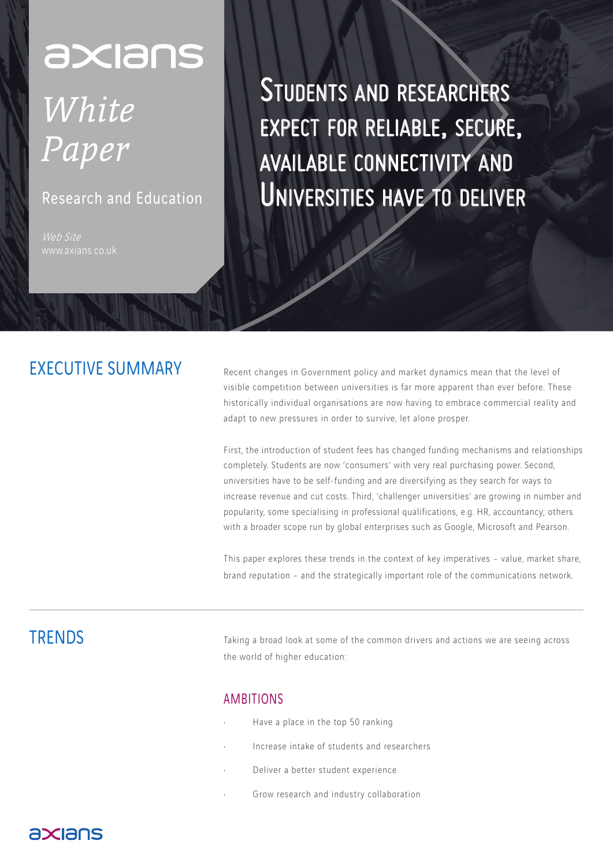# axians

# *White Paper*

## Research and Education

Web Site

Students and researchers expect for reliable, secure, available connectivity and Universities have to deliver

# EXECUTIVE SUMMARY

Recent changes in Government policy and market dynamics mean that the level of visible competition between universities is far more apparent than ever before. These historically individual organisations are now having to embrace commercial reality and adapt to new pressures in order to survive, let alone prosper.

First, the introduction of student fees has changed funding mechanisms and relationships completely. Students are now 'consumers' with very real purchasing power. Second, universities have to be self-funding and are diversifying as they search for ways to increase revenue and cut costs. Third, 'challenger universities' are growing in number and popularity, some specialising in professional qualifications, e.g. HR, accountancy; others with a broader scope run by global enterprises such as Google, Microsoft and Pearson.

This paper explores these trends in the context of key imperatives – value, market share, brand reputation – and the strategically important role of the communications network.

# **TRENDS**

Taking a broad look at some of the common drivers and actions we are seeing across the world of higher education:

#### AMBITIONS

- Have a place in the top 50 ranking
- Increase intake of students and researchers
- Deliver a better student experience
- Grow research and industry collaboration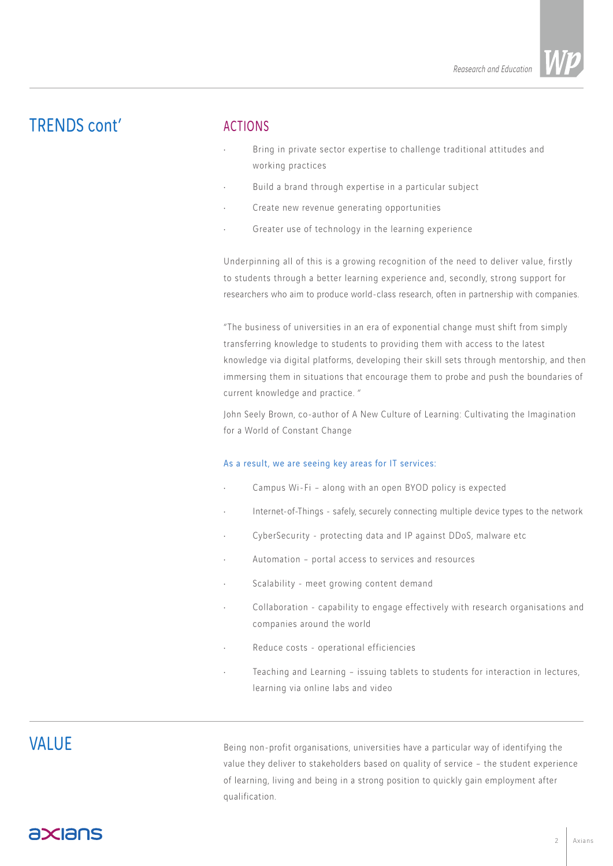# TRENDS cont'

#### ACTIONS

- Bring in private sector expertise to challenge traditional attitudes and working practices
- Build a brand through expertise in a particular subject
- Create new revenue generating opportunities
- Greater use of technology in the learning experience

Underpinning all of this is a growing recognition of the need to deliver value, firstly to students through a better learning experience and, secondly, strong support for researchers who aim to produce world-class research, often in partnership with companies.

"The business of universities in an era of exponential change must shift from simply transferring knowledge to students to providing them with access to the latest knowledge via digital platforms, developing their skill sets through mentorship, and then immersing them in situations that encourage them to probe and push the boundaries of current knowledge and practice. "

John Seely Brown, co-author of A New Culture of Learning: Cultivating the Imagination for a World of Constant Change

#### As a result, we are seeing key areas for IT services:

- Campus Wi-Fi along with an open BYOD policy is expected
- Internet-of-Things safely, securely connecting multiple device types to the network
- CyberSecurity protecting data and IP against DDoS, malware etc
- Automation portal access to services and resources
- Scalability meet growing content demand
- Collaboration capability to engage effectively with research organisations and companies around the world
- Reduce costs operational efficiencies
- Teaching and Learning issuing tablets to students for interaction in lectures, learning via online labs and video

## **VALUE**

Being non-profit organisations, universities have a particular way of identifying the value they deliver to stakeholders based on quality of service – the student experience of learning, living and being in a strong position to quickly gain employment after qualification.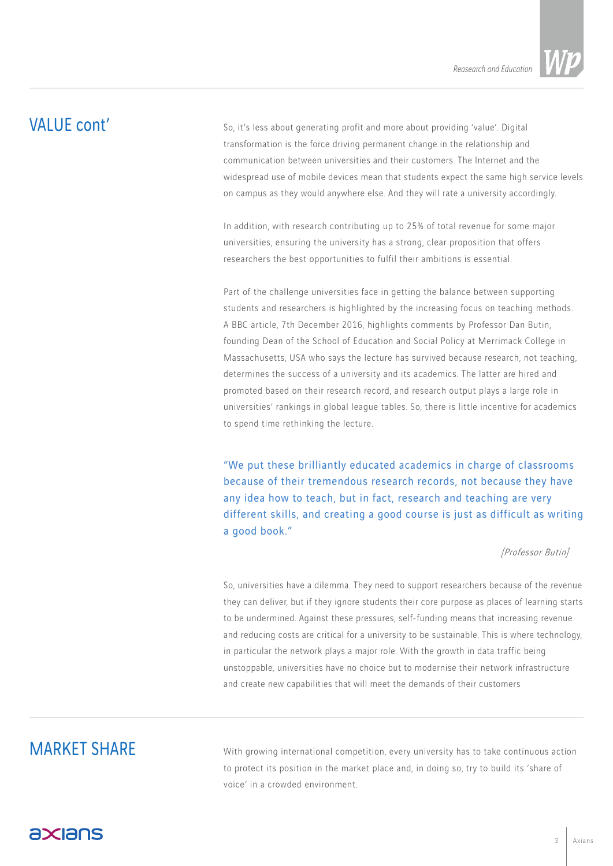*Reasearch and Education*

# VALUE cont'

So, it's less about generating profit and more about providing 'value'. Digital transformation is the force driving permanent change in the relationship and communication between universities and their customers. The Internet and the widespread use of mobile devices mean that students expect the same high service levels on campus as they would anywhere else. And they will rate a university accordingly.

In addition, with research contributing up to 25% of total revenue for some major universities, ensuring the university has a strong, clear proposition that offers researchers the best opportunities to fulfil their ambitions is essential.

Part of the challenge universities face in getting the balance between supporting students and researchers is highlighted by the increasing focus on teaching methods. A BBC article, 7th December 2016, highlights comments by Professor Dan Butin, founding Dean of the School of Education and Social Policy at Merrimack College in Massachusetts, USA who says the lecture has survived because research, not teaching, determines the success of a university and its academics. The latter are hired and promoted based on their research record, and research output plays a large role in universities' rankings in global league tables. So, there is little incentive for academics to spend time rethinking the lecture.

"We put these brilliantly educated academics in charge of classrooms because of their tremendous research records, not because they have any idea how to teach, but in fact, research and teaching are very different skills, and creating a good course is just as difficult as writing a good book."

#### [Professor Butin]

So, universities have a dilemma. They need to support researchers because of the revenue they can deliver, but if they ignore students their core purpose as places of learning starts to be undermined. Against these pressures, self-funding means that increasing revenue and reducing costs are critical for a university to be sustainable. This is where technology, in particular the network plays a major role. With the growth in data traffic being unstoppable, universities have no choice but to modernise their network infrastructure and create new capabilities that will meet the demands of their customers

# MARKET SHARE

With growing international competition, every university has to take continuous action to protect its position in the market place and, in doing so, try to build its 'share of voice' in a crowded environment.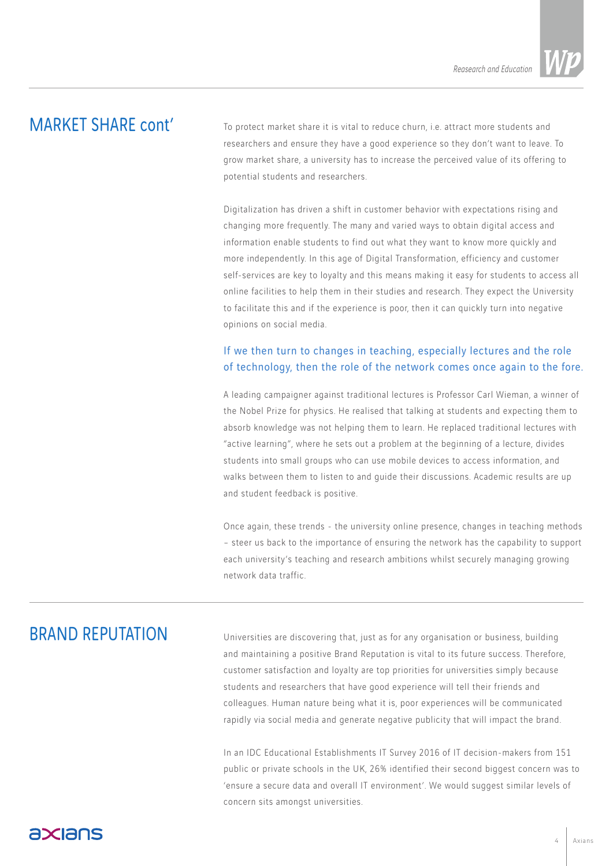# MARKET SHARE cont'

To protect market share it is vital to reduce churn, i.e. attract more students and researchers and ensure they have a good experience so they don't want to leave. To grow market share, a university has to increase the perceived value of its offering to potential students and researchers.

Digitalization has driven a shift in customer behavior with expectations rising and changing more frequently. The many and varied ways to obtain digital access and information enable students to find out what they want to know more quickly and more independently. In this age of Digital Transformation, efficiency and customer self-services are key to loyalty and this means making it easy for students to access all online facilities to help them in their studies and research. They expect the University to facilitate this and if the experience is poor, then it can quickly turn into negative opinions on social media.

#### If we then turn to changes in teaching, especially lectures and the role of technology, then the role of the network comes once again to the fore.

A leading campaigner against traditional lectures is Professor Carl Wieman, a winner of the Nobel Prize for physics. He realised that talking at students and expecting them to absorb knowledge was not helping them to learn. He replaced traditional lectures with "active learning", where he sets out a problem at the beginning of a lecture, divides students into small groups who can use mobile devices to access information, and walks between them to listen to and guide their discussions. Academic results are up and student feedback is positive.

Once again, these trends - the university online presence, changes in teaching methods – steer us back to the importance of ensuring the network has the capability to support each university's teaching and research ambitions whilst securely managing growing network data traffic.

## BRAND REPUTATION

Universities are discovering that, just as for any organisation or business, building and maintaining a positive Brand Reputation is vital to its future success. Therefore, customer satisfaction and loyalty are top priorities for universities simply because students and researchers that have good experience will tell their friends and colleagues. Human nature being what it is, poor experiences will be communicated rapidly via social media and generate negative publicity that will impact the brand.

In an IDC Educational Establishments IT Survey 2016 of IT decision-makers from 151 public or private schools in the UK, 26% identified their second biggest concern was to 'ensure a secure data and overall IT environment'. We would suggest similar levels of concern sits amongst universities.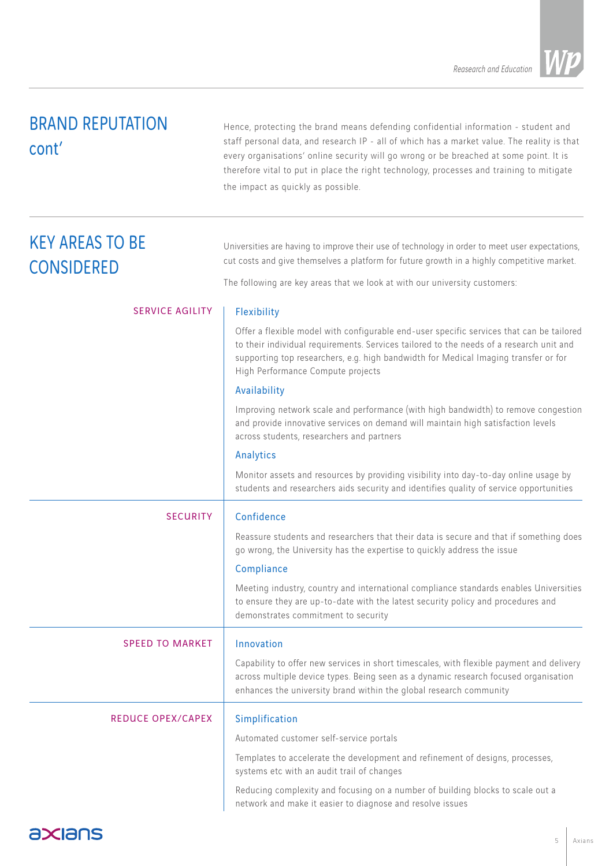# BRAND REPUTATION cont'

Hence, protecting the brand means defending confidential information - student and staff personal data, and research IP - all of which has a market value. The reality is that every organisations' online security will go wrong or be breached at some point. It is therefore vital to put in place the right technology, processes and training to mitigate the impact as quickly as possible.

| <b>KEY AREAS TO BE</b><br><b>CONSIDERED</b> | Universities are having to improve their use of technology in order to meet user expectations,<br>cut costs and give themselves a platform for future growth in a highly competitive market.                                                                                                                    |
|---------------------------------------------|-----------------------------------------------------------------------------------------------------------------------------------------------------------------------------------------------------------------------------------------------------------------------------------------------------------------|
|                                             | The following are key areas that we look at with our university customers:                                                                                                                                                                                                                                      |
| <b>SERVICE AGILITY</b>                      | Flexibility                                                                                                                                                                                                                                                                                                     |
|                                             | Offer a flexible model with configurable end-user specific services that can be tailored<br>to their individual requirements. Services tailored to the needs of a research unit and<br>supporting top researchers, e.g. high bandwidth for Medical Imaging transfer or for<br>High Performance Compute projects |
|                                             | Availability                                                                                                                                                                                                                                                                                                    |
|                                             | Improving network scale and performance (with high bandwidth) to remove congestion<br>and provide innovative services on demand will maintain high satisfaction levels<br>across students, researchers and partners                                                                                             |
|                                             | Analytics                                                                                                                                                                                                                                                                                                       |
|                                             | Monitor assets and resources by providing visibility into day-to-day online usage by<br>students and researchers aids security and identifies quality of service opportunities                                                                                                                                  |
| <b>SECURITY</b>                             | Confidence                                                                                                                                                                                                                                                                                                      |
|                                             | Reassure students and researchers that their data is secure and that if something does<br>go wrong, the University has the expertise to quickly address the issue                                                                                                                                               |
|                                             | Compliance                                                                                                                                                                                                                                                                                                      |
|                                             | Meeting industry, country and international compliance standards enables Universities<br>to ensure they are up-to-date with the latest security policy and procedures and<br>demonstrates commitment to security                                                                                                |
| <b>SPEED TO MARKET</b>                      | Innovation                                                                                                                                                                                                                                                                                                      |
|                                             | Capability to offer new services in short timescales, with flexible payment and delivery<br>across multiple device types. Being seen as a dynamic research focused organisation<br>enhances the university brand within the global research community                                                           |
| <b>REDUCE OPEX/CAPEX</b>                    | Simplification                                                                                                                                                                                                                                                                                                  |
|                                             | Automated customer self-service portals                                                                                                                                                                                                                                                                         |
|                                             | Templates to accelerate the development and refinement of designs, processes,<br>systems etc with an audit trail of changes                                                                                                                                                                                     |
|                                             | Reducing complexity and focusing on a number of building blocks to scale out a<br>network and make it easier to diagnose and resolve issues                                                                                                                                                                     |